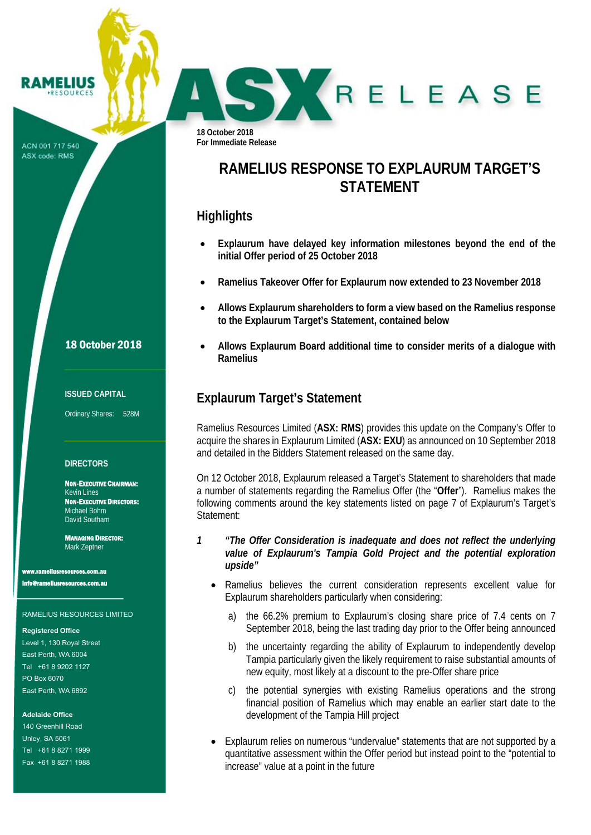**18 October 2018 For Immediate Release** 

# **RAMELIUS RESPONSE TO EXPLAURUM TARGET'S STATEMENT**

SKRELEASE

## **Highlights**

- **Explaurum have delayed key information milestones beyond the end of the initial Offer period of 25 October 2018**
- **Ramelius Takeover Offer for Explaurum now extended to 23 November 2018**
- **Allows Explaurum shareholders to form a view based on the Ramelius response to the Explaurum Target's Statement, contained below**
- **Allows Explaurum Board additional time to consider merits of a dialogue with Ramelius**

# **Explaurum Target's Statement**

Ramelius Resources Limited (**ASX: RMS**) provides this update on the Company's Offer to acquire the shares in Explaurum Limited (**ASX: EXU**) as announced on 10 September 2018 and detailed in the Bidders Statement released on the same day.

On 12 October 2018, Explaurum released a Target's Statement to shareholders that made a number of statements regarding the Ramelius Offer (the "**Offer**"). Ramelius makes the following comments around the key statements listed on page 7 of Explaurum's Target's Statement:

#### *1 "The Offer Consideration is inadequate and does not reflect the underlying value of Explaurum's Tampia Gold Project and the potential exploration upside"*

- Ramelius believes the current consideration represents excellent value for Explaurum shareholders particularly when considering:
	- a) the 66.2% premium to Explaurum's closing share price of 7.4 cents on 7 September 2018, being the last trading day prior to the Offer being announced
	- b) the uncertainty regarding the ability of Explaurum to independently develop Tampia particularly given the likely requirement to raise substantial amounts of new equity, most likely at a discount to the pre-Offer share price
	- c) the potential synergies with existing Ramelius operations and the strong financial position of Ramelius which may enable an earlier start date to the development of the Tampia Hill project
- Explaurum relies on numerous "undervalue" statements that are not supported by a quantitative assessment within the Offer period but instead point to the "potential to increase" value at a point in the future

## 18 October 2018

**RAMELIUS RESOURCES** 

ACN 001 717 540 ASX code: RMS

#### **ISSUED CAPITAL**

Ordinary Shares: 528M

#### **DIRECTORS**

NON-EXECUTIVE CHAIRMAN: Kevin Lines NON-EXECUTIVE DIRECTORS: Michael Bohm David Southam

MANAGING DIRECTOR: Mark Zeptner

www.<br>www.ras.com.au

info@rameliusresources.com.au

#### RAMELIUS RESOURCES LIMITED

#### **Registered Office**

Level 1, 130 Royal Street East Perth, WA 6004 Tel +61 8 9202 1127 PO Box 6070 East Perth, WA 6892

#### **Adelaide Office**

140 Greenhill Road Unley, SA 5061 Tel +61 8 8271 1999 Fax +61 8 8271 1988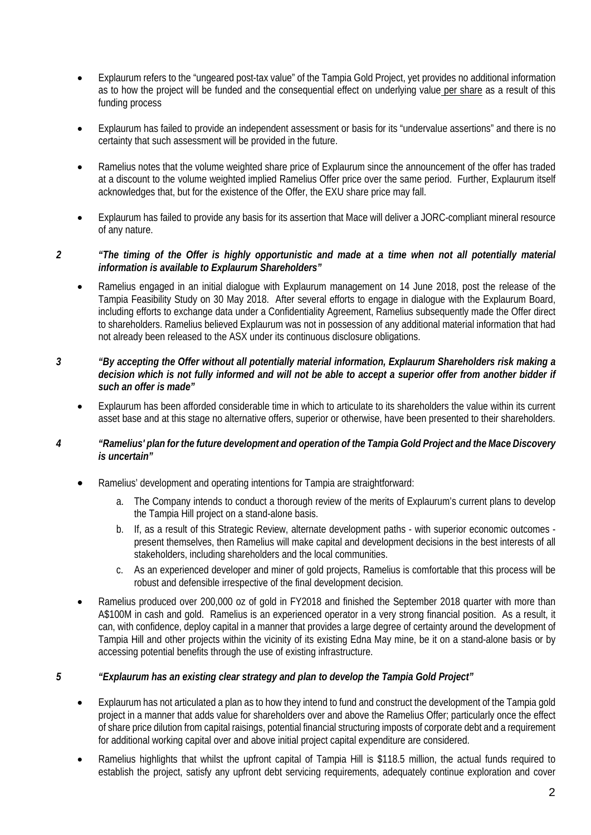- Explaurum refers to the "ungeared post-tax value" of the Tampia Gold Project, yet provides no additional information as to how the project will be funded and the consequential effect on underlying value per share as a result of this funding process
- Explaurum has failed to provide an independent assessment or basis for its "undervalue assertions" and there is no certainty that such assessment will be provided in the future.
- Ramelius notes that the volume weighted share price of Explaurum since the announcement of the offer has traded at a discount to the volume weighted implied Ramelius Offer price over the same period. Further, Explaurum itself acknowledges that, but for the existence of the Offer, the EXU share price may fall.
- Explaurum has failed to provide any basis for its assertion that Mace will deliver a JORC-compliant mineral resource of any nature.

## *2 "The timing of the Offer is highly opportunistic and made at a time when not all potentially material information is available to Explaurum Shareholders"*

 Ramelius engaged in an initial dialogue with Explaurum management on 14 June 2018, post the release of the Tampia Feasibility Study on 30 May 2018. After several efforts to engage in dialogue with the Explaurum Board, including efforts to exchange data under a Confidentiality Agreement, Ramelius subsequently made the Offer direct to shareholders. Ramelius believed Explaurum was not in possession of any additional material information that had not already been released to the ASX under its continuous disclosure obligations.

### *3 "By accepting the Offer without all potentially material information, Explaurum Shareholders risk making a decision which is not fully informed and will not be able to accept a superior offer from another bidder if such an offer is made"*

 Explaurum has been afforded considerable time in which to articulate to its shareholders the value within its current asset base and at this stage no alternative offers, superior or otherwise, have been presented to their shareholders.

### *4 "Ramelius' plan for the future development and operation of the Tampia Gold Project and the Mace Discovery is uncertain"*

- Ramelius' development and operating intentions for Tampia are straightforward:
	- a. The Company intends to conduct a thorough review of the merits of Explaurum's current plans to develop the Tampia Hill project on a stand-alone basis.
	- b. If, as a result of this Strategic Review, alternate development paths with superior economic outcomes present themselves, then Ramelius will make capital and development decisions in the best interests of all stakeholders, including shareholders and the local communities.
	- c. As an experienced developer and miner of gold projects, Ramelius is comfortable that this process will be robust and defensible irrespective of the final development decision.
- Ramelius produced over 200,000 oz of gold in FY2018 and finished the September 2018 quarter with more than A\$100M in cash and gold. Ramelius is an experienced operator in a very strong financial position. As a result, it can, with confidence, deploy capital in a manner that provides a large degree of certainty around the development of Tampia Hill and other projects within the vicinity of its existing Edna May mine, be it on a stand-alone basis or by accessing potential benefits through the use of existing infrastructure.

## *5 "Explaurum has an existing clear strategy and plan to develop the Tampia Gold Project"*

- Explaurum has not articulated a plan as to how they intend to fund and construct the development of the Tampia gold project in a manner that adds value for shareholders over and above the Ramelius Offer; particularly once the effect of share price dilution from capital raisings, potential financial structuring imposts of corporate debt and a requirement for additional working capital over and above initial project capital expenditure are considered.
- Ramelius highlights that whilst the upfront capital of Tampia Hill is \$118.5 million, the actual funds required to establish the project, satisfy any upfront debt servicing requirements, adequately continue exploration and cover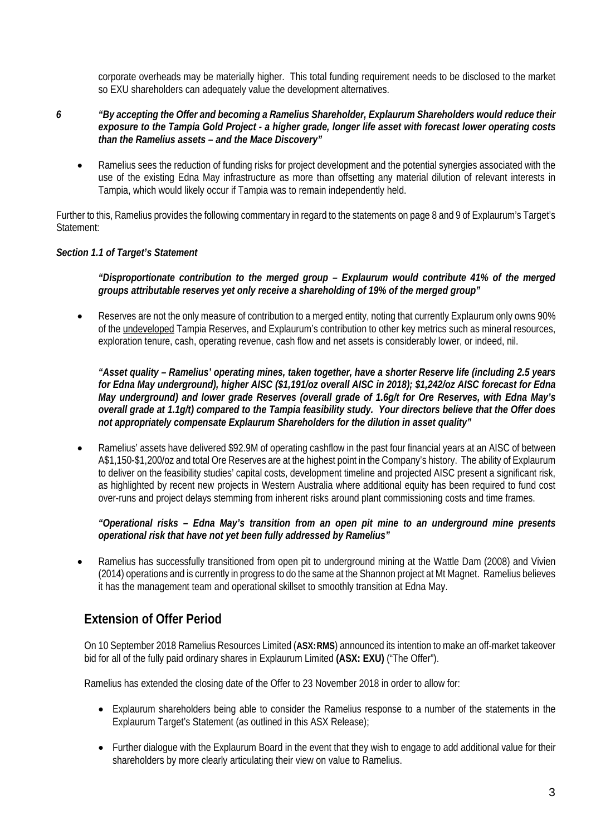corporate overheads may be materially higher. This total funding requirement needs to be disclosed to the market so EXU shareholders can adequately value the development alternatives.

### *6 "By accepting the Offer and becoming a Ramelius Shareholder, Explaurum Shareholders would reduce their exposure to the Tampia Gold Project - a higher grade, longer life asset with forecast lower operating costs than the Ramelius assets – and the Mace Discovery"*

 Ramelius sees the reduction of funding risks for project development and the potential synergies associated with the use of the existing Edna May infrastructure as more than offsetting any material dilution of relevant interests in Tampia, which would likely occur if Tampia was to remain independently held.

Further to this, Ramelius provides the following commentary in regard to the statements on page 8 and 9 of Explaurum's Target's Statement:

### *Section 1.1 of Target's Statement*

### *"Disproportionate contribution to the merged group – Explaurum would contribute 41% of the merged groups attributable reserves yet only receive a shareholding of 19% of the merged group"*

 Reserves are not the only measure of contribution to a merged entity, noting that currently Explaurum only owns 90% of the undeveloped Tampia Reserves, and Explaurum's contribution to other key metrics such as mineral resources, exploration tenure, cash, operating revenue, cash flow and net assets is considerably lower, or indeed, nil.

*"Asset quality – Ramelius' operating mines, taken together, have a shorter Reserve life (including 2.5 years for Edna May underground), higher AISC (\$1,191/oz overall AISC in 2018); \$1,242/oz AISC forecast for Edna May underground) and lower grade Reserves (overall grade of 1.6g/t for Ore Reserves, with Edna May's overall grade at 1.1g/t) compared to the Tampia feasibility study. Your directors believe that the Offer does not appropriately compensate Explaurum Shareholders for the dilution in asset quality"* 

 Ramelius' assets have delivered \$92.9M of operating cashflow in the past four financial years at an AISC of between A\$1,150-\$1,200/oz and total Ore Reserves are at the highest point in the Company's history. The ability of Explaurum to deliver on the feasibility studies' capital costs, development timeline and projected AISC present a significant risk, as highlighted by recent new projects in Western Australia where additional equity has been required to fund cost over-runs and project delays stemming from inherent risks around plant commissioning costs and time frames.

### *"Operational risks – Edna May's transition from an open pit mine to an underground mine presents operational risk that have not yet been fully addressed by Ramelius"*

 Ramelius has successfully transitioned from open pit to underground mining at the Wattle Dam (2008) and Vivien (2014) operations and is currently in progress to do the same at the Shannon project at Mt Magnet. Ramelius believes it has the management team and operational skillset to smoothly transition at Edna May.

# **Extension of Offer Period**

On 10 September 2018 Ramelius Resources Limited (**ASX:RMS**) announced its intention to make an off-market takeover bid for all of the fully paid ordinary shares in Explaurum Limited **(ASX: EXU)** ("The Offer").

Ramelius has extended the closing date of the Offer to 23 November 2018 in order to allow for:

- Explaurum shareholders being able to consider the Ramelius response to a number of the statements in the Explaurum Target's Statement (as outlined in this ASX Release);
- Further dialogue with the Explaurum Board in the event that they wish to engage to add additional value for their shareholders by more clearly articulating their view on value to Ramelius.